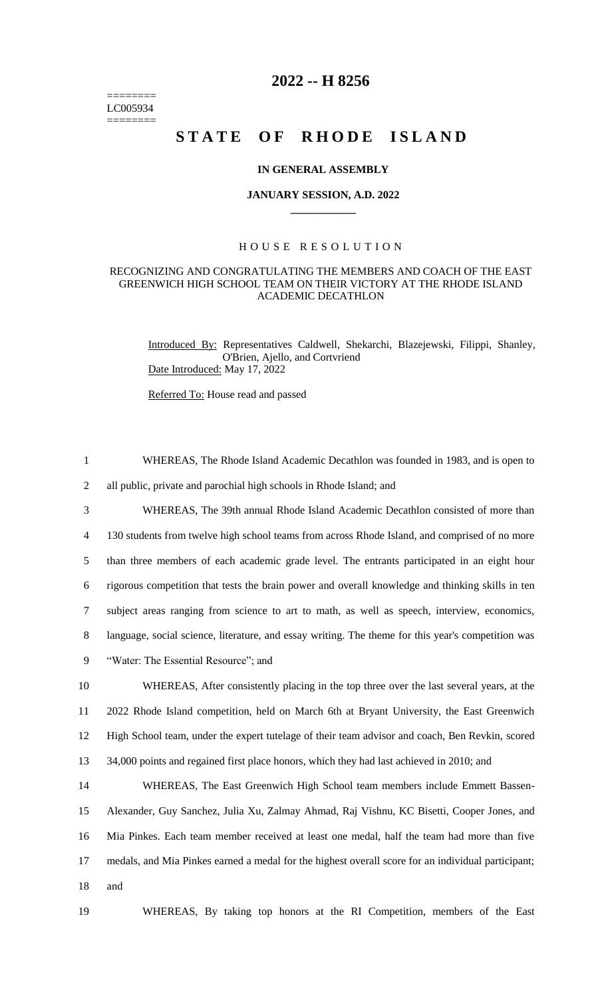======== LC005934 ========

## **2022 -- H 8256**

# STATE OF RHODE ISLAND

### **IN GENERAL ASSEMBLY**

#### **JANUARY SESSION, A.D. 2022 \_\_\_\_\_\_\_\_\_\_\_\_**

### H O U S E R E S O L U T I O N

### RECOGNIZING AND CONGRATULATING THE MEMBERS AND COACH OF THE EAST GREENWICH HIGH SCHOOL TEAM ON THEIR VICTORY AT THE RHODE ISLAND ACADEMIC DECATHLON

Introduced By: Representatives Caldwell, Shekarchi, Blazejewski, Filippi, Shanley, O'Brien, Ajello, and Cortvriend Date Introduced: May 17, 2022

Referred To: House read and passed

 WHEREAS, The Rhode Island Academic Decathlon was founded in 1983, and is open to all public, private and parochial high schools in Rhode Island; and WHEREAS, The 39th annual Rhode Island Academic Decathlon consisted of more than 130 students from twelve high school teams from across Rhode Island, and comprised of no more than three members of each academic grade level. The entrants participated in an eight hour rigorous competition that tests the brain power and overall knowledge and thinking skills in ten subject areas ranging from science to art to math, as well as speech, interview, economics, language, social science, literature, and essay writing. The theme for this year's competition was "Water: The Essential Resource"; and WHEREAS, After consistently placing in the top three over the last several years, at the 2022 Rhode Island competition, held on March 6th at Bryant University, the East Greenwich High School team, under the expert tutelage of their team advisor and coach, Ben Revkin, scored 34,000 points and regained first place honors, which they had last achieved in 2010; and WHEREAS, The East Greenwich High School team members include Emmett Bassen- Alexander, Guy Sanchez, Julia Xu, Zalmay Ahmad, Raj Vishnu, KC Bisetti, Cooper Jones, and Mia Pinkes. Each team member received at least one medal, half the team had more than five medals, and Mia Pinkes earned a medal for the highest overall score for an individual participant; 18 and

19 WHEREAS, By taking top honors at the RI Competition, members of the East